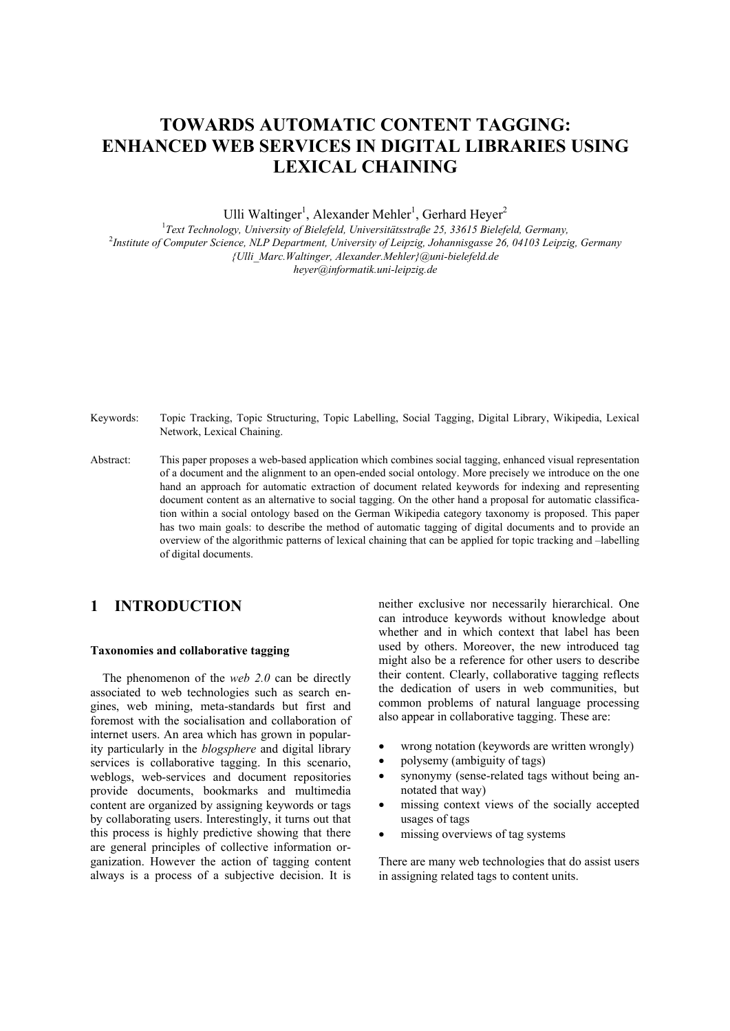# **TOWARDS AUTOMATIC CONTENT TAGGING: ENHANCED WEB SERVICES IN DIGITAL LIBRARIES USING LEXICAL CHAINING**

Ulli Waltinger<sup>1</sup>, Alexander Mehler<sup>1</sup>, Gerhard Heyer<sup>2</sup>

1 *Text Technology, University of Bielefeld, Universitätsstraße 25, 33615 Bielefeld, Germany,* 2 *Institute of Computer Science, NLP Department, University of Leipzig, Johannisgasse 26, 04103 Leipzig, Germany {Ulli\_Marc.Waltinger, Alexander.Mehler}@uni-bielefeld.de heyer@informatik.uni-leipzig.de* 

Keywords: Topic Tracking, Topic Structuring, Topic Labelling, Social Tagging, Digital Library, Wikipedia, Lexical Network, Lexical Chaining.

Abstract: This paper proposes a web-based application which combines social tagging, enhanced visual representation of a document and the alignment to an open-ended social ontology. More precisely we introduce on the one hand an approach for automatic extraction of document related keywords for indexing and representing document content as an alternative to social tagging. On the other hand a proposal for automatic classification within a social ontology based on the German Wikipedia category taxonomy is proposed. This paper has two main goals: to describe the method of automatic tagging of digital documents and to provide an overview of the algorithmic patterns of lexical chaining that can be applied for topic tracking and –labelling of digital documents.

## **1 INTRODUCTION**

#### **Taxonomies and collaborative tagging**

 The phenomenon of the *web 2.0* can be directly associated to web technologies such as search engines, web mining, meta-standards but first and foremost with the socialisation and collaboration of internet users. An area which has grown in popularity particularly in the *blogsphere* and digital library services is collaborative tagging. In this scenario, weblogs, web-services and document repositories provide documents, bookmarks and multimedia content are organized by assigning keywords or tags by collaborating users. Interestingly, it turns out that this process is highly predictive showing that there are general principles of collective information organization. However the action of tagging content always is a process of a subjective decision. It is

neither exclusive nor necessarily hierarchical. One can introduce keywords without knowledge about whether and in which context that label has been used by others. Moreover, the new introduced tag might also be a reference for other users to describe their content. Clearly, collaborative tagging reflects the dedication of users in web communities, but common problems of natural language processing also appear in collaborative tagging. These are:

- wrong notation (keywords are written wrongly)
- polysemy (ambiguity of tags)
- synonymy (sense-related tags without being annotated that way)
- missing context views of the socially accepted usages of tags
- missing overviews of tag systems

There are many web technologies that do assist users in assigning related tags to content units.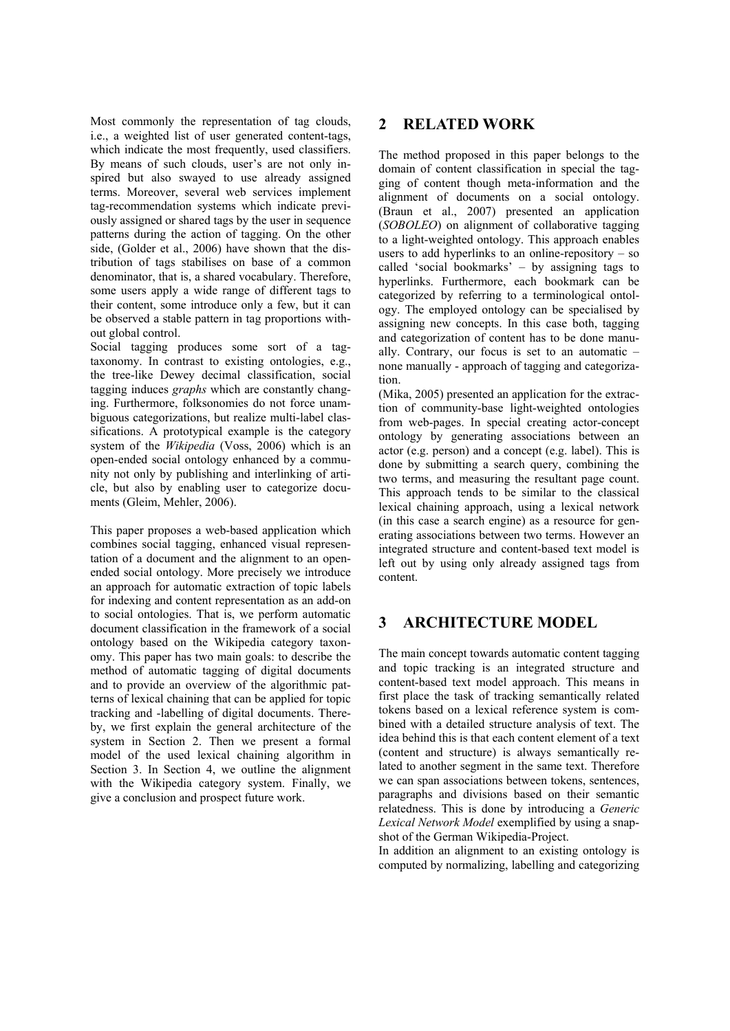Most commonly the representation of tag clouds, i.e., a weighted list of user generated content-tags, which indicate the most frequently, used classifiers. By means of such clouds, user's are not only inspired but also swayed to use already assigned terms. Moreover, several web services implement tag-recommendation systems which indicate previously assigned or shared tags by the user in sequence patterns during the action of tagging. On the other side, (Golder et al., 2006) have shown that the distribution of tags stabilises on base of a common denominator, that is, a shared vocabulary. Therefore, some users apply a wide range of different tags to their content, some introduce only a few, but it can be observed a stable pattern in tag proportions without global control.

Social tagging produces some sort of a tagtaxonomy. In contrast to existing ontologies, e.g., the tree-like Dewey decimal classification, social tagging induces *graphs* which are constantly changing. Furthermore, folksonomies do not force unambiguous categorizations, but realize multi-label classifications. A prototypical example is the category system of the *Wikipedia* (Voss, 2006) which is an open-ended social ontology enhanced by a community not only by publishing and interlinking of article, but also by enabling user to categorize documents (Gleim, Mehler, 2006).

This paper proposes a web-based application which combines social tagging, enhanced visual representation of a document and the alignment to an openended social ontology. More precisely we introduce an approach for automatic extraction of topic labels for indexing and content representation as an add-on to social ontologies. That is, we perform automatic document classification in the framework of a social ontology based on the Wikipedia category taxonomy. This paper has two main goals: to describe the method of automatic tagging of digital documents and to provide an overview of the algorithmic patterns of lexical chaining that can be applied for topic tracking and -labelling of digital documents. Thereby, we first explain the general architecture of the system in Section 2. Then we present a formal model of the used lexical chaining algorithm in Section 3. In Section 4, we outline the alignment with the Wikipedia category system. Finally, we give a conclusion and prospect future work.

### **2 RELATED WORK**

The method proposed in this paper belongs to the domain of content classification in special the tagging of content though meta-information and the alignment of documents on a social ontology. (Braun et al., 2007) presented an application (*SOBOLEO*) on alignment of collaborative tagging to a light-weighted ontology. This approach enables users to add hyperlinks to an online-repository  $-$  so called 'social bookmarks' – by assigning tags to hyperlinks. Furthermore, each bookmark can be categorized by referring to a terminological ontology. The employed ontology can be specialised by assigning new concepts. In this case both, tagging and categorization of content has to be done manually. Contrary, our focus is set to an automatic – none manually - approach of tagging and categorization.

(Mika, 2005) presented an application for the extraction of community-base light-weighted ontologies from web-pages. In special creating actor-concept ontology by generating associations between an actor (e.g. person) and a concept (e.g. label). This is done by submitting a search query, combining the two terms, and measuring the resultant page count. This approach tends to be similar to the classical lexical chaining approach, using a lexical network (in this case a search engine) as a resource for generating associations between two terms. However an integrated structure and content-based text model is left out by using only already assigned tags from content.

## **3 ARCHITECTURE MODEL**

The main concept towards automatic content tagging and topic tracking is an integrated structure and content-based text model approach. This means in first place the task of tracking semantically related tokens based on a lexical reference system is combined with a detailed structure analysis of text. The idea behind this is that each content element of a text (content and structure) is always semantically related to another segment in the same text. Therefore we can span associations between tokens, sentences, paragraphs and divisions based on their semantic relatedness. This is done by introducing a *Generic Lexical Network Model* exemplified by using a snapshot of the German Wikipedia-Project.

In addition an alignment to an existing ontology is computed by normalizing, labelling and categorizing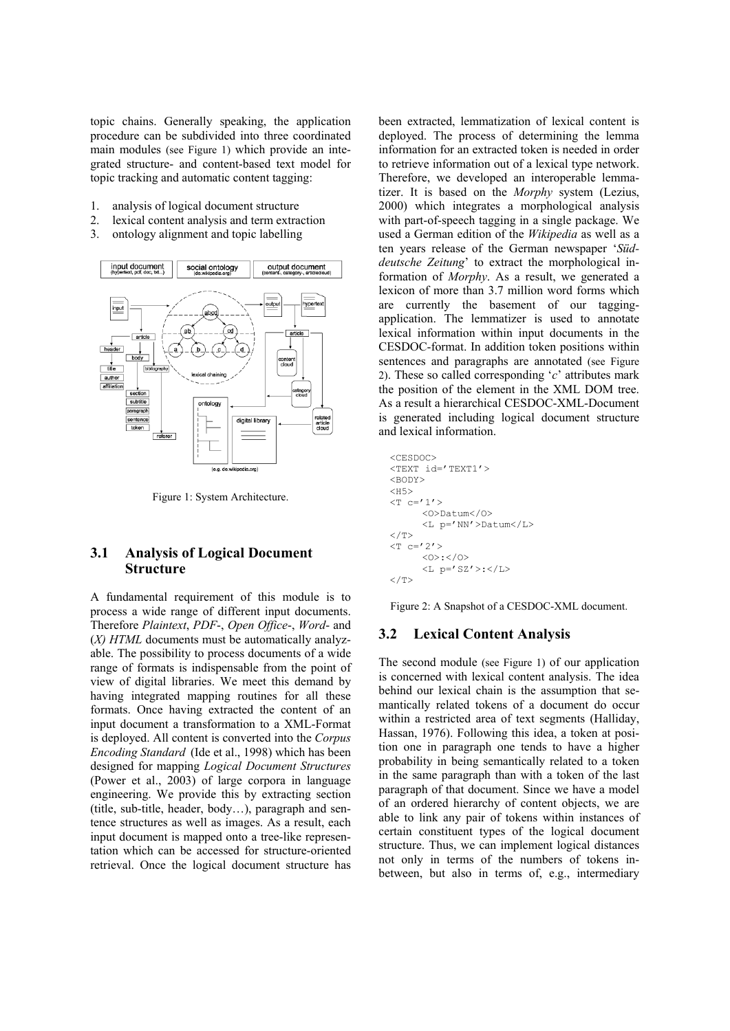topic chains. Generally speaking, the application procedure can be subdivided into three coordinated main modules (see Figure 1) which provide an integrated structure- and content-based text model for topic tracking and automatic content tagging:

- 1. analysis of logical document structure
- 2. lexical content analysis and term extraction
- 3. ontology alignment and topic labelling



Figure 1: System Architecture.

#### **3.1 Analysis of Logical Document Structure**

A fundamental requirement of this module is to process a wide range of different input documents. Therefore *Plaintext*, *PDF*-, *Open Office*-, *Word*- and (*X) HTML* documents must be automatically analyzable. The possibility to process documents of a wide range of formats is indispensable from the point of view of digital libraries. We meet this demand by having integrated mapping routines for all these formats. Once having extracted the content of an input document a transformation to a XML-Format is deployed. All content is converted into the *Corpus Encoding Standard* (Ide et al., 1998) which has been designed for mapping *Logical Document Structures* (Power et al., 2003) of large corpora in language engineering. We provide this by extracting section (title, sub-title, header, body…), paragraph and sentence structures as well as images. As a result, each input document is mapped onto a tree-like representation which can be accessed for structure-oriented retrieval. Once the logical document structure has

been extracted, lemmatization of lexical content is deployed. The process of determining the lemma information for an extracted token is needed in order to retrieve information out of a lexical type network. Therefore, we developed an interoperable lemmatizer. It is based on the *Morphy* system (Lezius, 2000) which integrates a morphological analysis with part-of-speech tagging in a single package. We used a German edition of the *Wikipedia* as well as a ten years release of the German newspaper '*Süddeutsche Zeitung*' to extract the morphological information of *Morphy*. As a result, we generated a lexicon of more than 3.7 million word forms which are currently the basement of our taggingapplication. The lemmatizer is used to annotate lexical information within input documents in the CESDOC-format. In addition token positions within sentences and paragraphs are annotated (see Figure 2). These so called corresponding '*c*' attributes mark the position of the element in the XML DOM tree. As a result a hierarchical CESDOC-XML-Document is generated including logical document structure and lexical information.

```
<CESDOC> 
<TEXT id='TEXT1'>
<BODY><H5> 
(T \cap C = 1') <O>Datum</O> 
        <L p='NN'>Datum</L> 
</T>
<\mathbb{T} c=121<0>:</0>
        <L p='SZ'>:</L> 
\langle/T>
```
Figure 2: A Snapshot of a CESDOC-XML document.

#### **3.2 Lexical Content Analysis**

The second module (see Figure 1) of our application is concerned with lexical content analysis. The idea behind our lexical chain is the assumption that semantically related tokens of a document do occur within a restricted area of text segments (Halliday, Hassan, 1976). Following this idea, a token at position one in paragraph one tends to have a higher probability in being semantically related to a token in the same paragraph than with a token of the last paragraph of that document. Since we have a model of an ordered hierarchy of content objects, we are able to link any pair of tokens within instances of certain constituent types of the logical document structure. Thus, we can implement logical distances not only in terms of the numbers of tokens inbetween, but also in terms of, e.g., intermediary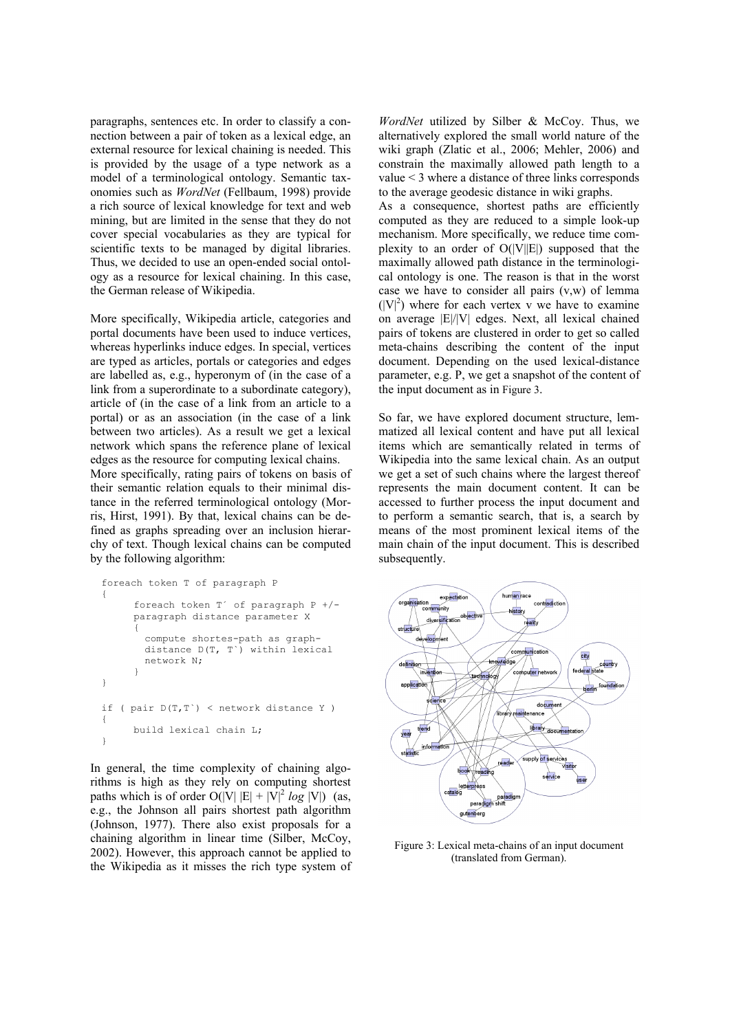paragraphs, sentences etc. In order to classify a connection between a pair of token as a lexical edge, an external resource for lexical chaining is needed. This is provided by the usage of a type network as a model of a terminological ontology. Semantic taxonomies such as *WordNet* (Fellbaum, 1998) provide a rich source of lexical knowledge for text and web mining, but are limited in the sense that they do not cover special vocabularies as they are typical for scientific texts to be managed by digital libraries. Thus, we decided to use an open-ended social ontology as a resource for lexical chaining. In this case, the German release of Wikipedia.

More specifically, Wikipedia article, categories and portal documents have been used to induce vertices, whereas hyperlinks induce edges. In special, vertices are typed as articles, portals or categories and edges are labelled as, e.g., hyperonym of (in the case of a link from a superordinate to a subordinate category), article of (in the case of a link from an article to a portal) or as an association (in the case of a link between two articles). As a result we get a lexical network which spans the reference plane of lexical edges as the resource for computing lexical chains.

More specifically, rating pairs of tokens on basis of their semantic relation equals to their minimal distance in the referred terminological ontology (Morris, Hirst, 1991). By that, lexical chains can be defined as graphs spreading over an inclusion hierarchy of text. Though lexical chains can be computed by the following algorithm:

```
foreach token T of paragraph P 
{ 
      foreach token T´ of paragraph P +/- 
      paragraph distance parameter X 
      { 
        compute shortes-path as graph-
        distance D(T, T`) within lexical 
       network N; 
      } 
} 
if ( pair D(T,T`) < network distance Y ) 
{ 
       build lexical chain L; 
}
```
In general, the time complexity of chaining algorithms is high as they rely on computing shortest paths which is of order  $O(|V| |E| + |V|^2 log |V|)$  (as, e.g., the Johnson all pairs shortest path algorithm (Johnson, 1977). There also exist proposals for a chaining algorithm in linear time (Silber, McCoy, 2002). However, this approach cannot be applied to the Wikipedia as it misses the rich type system of

*WordNet* utilized by Silber & McCoy. Thus, we alternatively explored the small world nature of the wiki graph (Zlatic et al., 2006; Mehler, 2006) and constrain the maximally allowed path length to a value < 3 where a distance of three links corresponds to the average geodesic distance in wiki graphs.

As a consequence, shortest paths are efficiently computed as they are reduced to a simple look-up mechanism. More specifically, we reduce time complexity to an order of  $O(|V||E|)$  supposed that the maximally allowed path distance in the terminological ontology is one. The reason is that in the worst case we have to consider all pairs (v,w) of lemma  $(|V|^2)$  where for each vertex v we have to examine on average |E|/|V| edges. Next, all lexical chained pairs of tokens are clustered in order to get so called meta-chains describing the content of the input document. Depending on the used lexical-distance parameter, e.g. P, we get a snapshot of the content of the input document as in Figure 3.

So far, we have explored document structure, lemmatized all lexical content and have put all lexical items which are semantically related in terms of Wikipedia into the same lexical chain. As an output we get a set of such chains where the largest thereof represents the main document content. It can be accessed to further process the input document and to perform a semantic search, that is, a search by means of the most prominent lexical items of the main chain of the input document. This is described subsequently.



Figure 3: Lexical meta-chains of an input document (translated from German).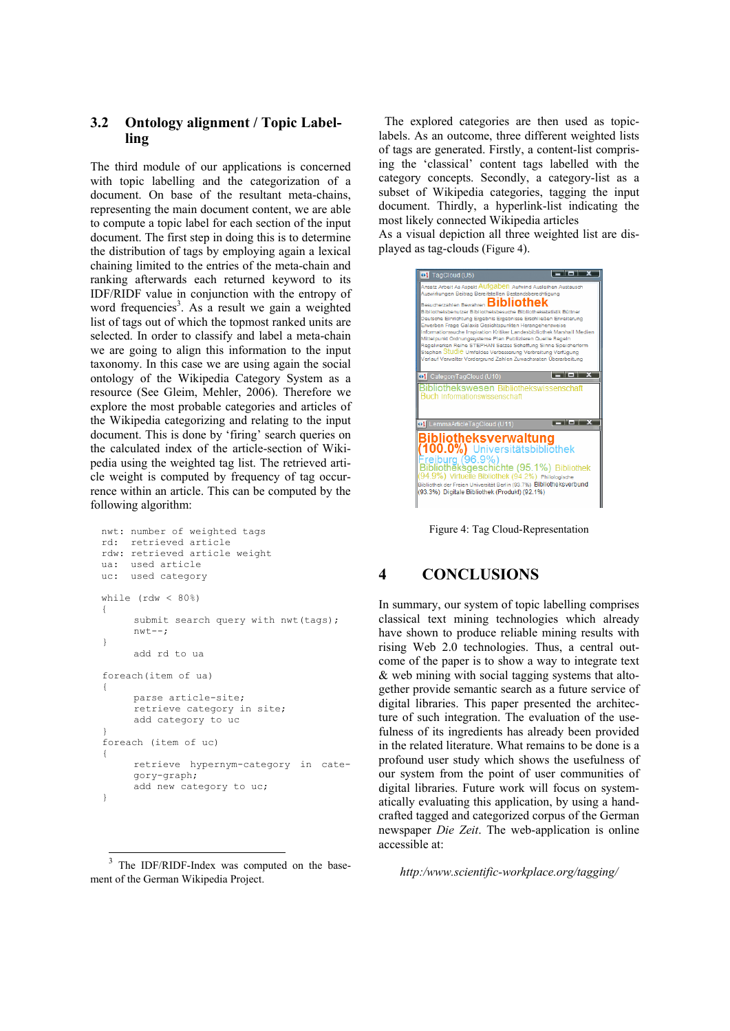### **3.2 Ontology alignment / Topic Labelling**

The third module of our applications is concerned with topic labelling and the categorization of a document. On base of the resultant meta-chains, representing the main document content, we are able to compute a topic label for each section of the input document. The first step in doing this is to determine the distribution of tags by employing again a lexical chaining limited to the entries of the meta-chain and ranking afterwards each returned keyword to its IDF/RIDF value in conjunction with the entropy of word frequencies<sup>3</sup>. As a result we gain a weighted list of tags out of which the topmost ranked units are selected. In order to classify and label a meta-chain we are going to align this information to the input taxonomy. In this case we are using again the social ontology of the Wikipedia Category System as a resource (See Gleim, Mehler, 2006). Therefore we explore the most probable categories and articles of the Wikipedia categorizing and relating to the input document. This is done by 'firing' search queries on the calculated index of the article-section of Wikipedia using the weighted tag list. The retrieved article weight is computed by frequency of tag occurrence within an article. This can be computed by the following algorithm:

```
nwt: number of weighted tags 
 rd: retrieved article 
 rdw: retrieved article weight 
  ua: used article 
  uc: used category 
 while (rdw < 80%) 
 { 
       submit search query with nwt (tags);
       nwt--; 
   } 
       add rd to ua 
  foreach(item of ua) 
   { 
        parse article-site; 
       .<br>retrieve category in site;
        add category to uc 
 } 
   foreach (item of uc) 
   { 
       retrieve hypernym-category in cate-
       gory-graph; 
       add new category to uc;
 }
```
<sup>3</sup> The IDF/RIDF-Index was computed on the basement of the German Wikipedia Project.

l

The explored categories are then used as topiclabels. As an outcome, three different weighted lists of tags are generated. Firstly, a content-list comprising the 'classical' content tags labelled with the category concepts. Secondly, a category-list as a subset of Wikipedia categories, tagging the input document. Thirdly, a hyperlink-list indicating the most likely connected Wikipedia articles

As a visual depiction all three weighted list are displayed as tag-clouds (Figure 4).



Figure 4: Tag Cloud-Representation

## **4 CONCLUSIONS**

In summary, our system of topic labelling comprises classical text mining technologies which already have shown to produce reliable mining results with rising Web 2.0 technologies. Thus, a central outcome of the paper is to show a way to integrate text & web mining with social tagging systems that altogether provide semantic search as a future service of digital libraries. This paper presented the architecture of such integration. The evaluation of the usefulness of its ingredients has already been provided in the related literature. What remains to be done is a profound user study which shows the usefulness of our system from the point of user communities of digital libraries. Future work will focus on systematically evaluating this application, by using a handcrafted tagged and categorized corpus of the German newspaper *Die Zeit*. The web-application is online accessible at:

*http:/www.scientific-workplace.org/tagging/*